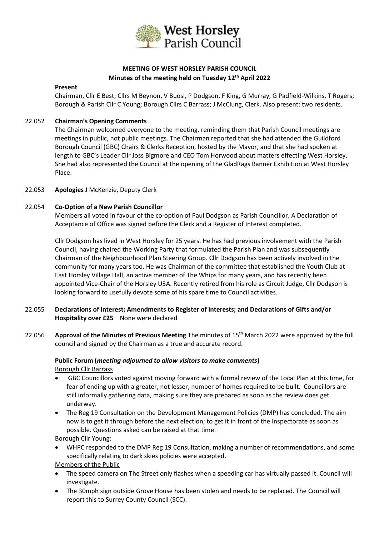

# **MEETING OF WEST HORSLEY PARISH COUNCIL Minutes of the meeting held on Tuesday 12 th April 2022**

#### **Present**

Chairman, Cllr E Best; Cllrs M Beynon, V Buosi, P Dodgson, F King, G Murray, G Padfield-Wilkins, T Rogers; Borough & Parish Cllr C Young; Borough Cllrs C Barrass; J McClung, Clerk. Also present: two residents.

#### 22.052 **Chairman's Opening Comments**

The Chairman welcomed everyone to the meeting, reminding them that Parish Council meetings are meetings in public, not public meetings. The Chairman reported that she had attended the Guildford Borough Council (GBC) Chairs & Clerks Reception, hosted by the Mayor, and that she had spoken at length to GBC's Leader Cllr Joss Bigmore and CEO Tom Horwood about matters effecting West Horsley. She had also represented the Council at the opening of the GladRags Banner Exhibition at West Horsley Place.

### 22.053 **Apologies** J McKenzie, Deputy Clerk

### 22.054 **Co-Option of a New Parish Councillor**

Members all voted in favour of the co-option of Paul Dodgson as Parish Councillor. A Declaration of Acceptance of Office was signed before the Clerk and a Register of Interest completed.

Cllr Dodgson has lived in West Horsley for 25 years. He has had previous involvement with the Parish Council, having chaired the Working Party that formulated the Parish Plan and was subsequently Chairman of the Neighbourhood Plan Steering Group. Cllr Dodgson has been actively involved in the community for many years too. He was Chairman of the committee that established the Youth Club at East Horsley Village Hall, an active member of The Whips for many years, and has recently been appointed Vice-Chair of the Horsley U3A. Recently retired from his role as Circuit Judge, Cllr Dodgson is looking forward to usefully devote some of his spare time to Council activities.

- 22.055 **Declarations of Interest; Amendments to Register of Interests; and Declarations of Gifts and/or Hospitality over £25** None were declared
- 22.056 **Approval of the Minutes of Previous Meeting** The minutes of 15th March 2022 were approved by the full council and signed by the Chairman as a true and accurate record.

## **Public Forum (***meeting adjourned to allow visitors to make comments***)** Borough Cllr Barrass

- GBC Councillors voted against moving forward with a formal review of the Local Plan at this time, for fear of ending up with a greater, not lesser, number of homes required to be built. Councillors are still informally gathering data, making sure they are prepared as soon as the review does get underway.
- The Reg 19 Consultation on the Development Management Policies (DMP) has concluded. The aim now is to get it through before the next election; to get it in front of the Inspectorate as soon as possible. Questions asked can be raised at that time.

Borough Cllr Young:

• WHPC responded to the DMP Reg 19 Consultation, making a number of recommendations, and some specifically relating to dark skies policies were accepted.

Members of the Public

- The speed camera on The Street only flashes when a speeding car has virtually passed it. Council will investigate.
- The 30mph sign outside Grove House has been stolen and needs to be replaced. The Council will report this to Surrey County Council (SCC).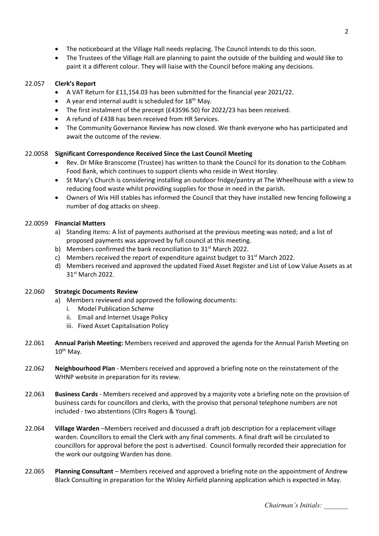- The noticeboard at the Village Hall needs replacing. The Council intends to do this soon.
- The Trustees of the Village Hall are planning to paint the outside of the building and would like to paint it a different colour. They will liaise with the Council before making any decisions.

# 22.057 **Clerk's Report**

- A VAT Return for £11,154.03 has been submitted for the financial year 2021/22.
- A year end internal audit is scheduled for  $18<sup>th</sup>$  May.
- The first instalment of the precept (£43596.50) for 2022/23 has been received.
- A refund of £438 has been received from HR Services.
- The Community Governance Review has now closed. We thank everyone who has participated and await the outcome of the review.

# 22.0058 **Significant Correspondence Received Since the Last Council Meeting**

- Rev. Dr Mike Branscome (Trustee) has written to thank the Council for its donation to the Cobham Food Bank, which continues to support clients who reside in West Horsley.
- St Mary's Church is considering installing an outdoor fridge/pantry at The Wheelhouse with a view to reducing food waste whilst providing supplies for those in need in the parish.
- Owners of Wix Hill stables has informed the Council that they have installed new fencing following a number of dog attacks on sheep.

# 22.0059 **Financial Matters**

- a) Standing items: A list of payments authorised at the previous meeting was noted; and a list of proposed payments was approved by full council at this meeting.
- b) Members confirmed the bank reconciliation to 31<sup>st</sup> March 2022.
- c) Members received the report of expenditure against budget to  $31<sup>st</sup>$  March 2022.
- d) Members received and approved the updated Fixed Asset Register and List of Low Value Assets as at 31<sup>st</sup> March 2022.

# 22.060 **Strategic Documents Review**

- a) Members reviewed and approved the following documents:
	- i. Model Publication Scheme
	- ii. Email and Internet Usage Policy
	- iii. Fixed Asset Capitalisation Policy
- 22.061 **Annual Parish Meeting:** Members received and approved the agenda for the Annual Parish Meeting on  $10^{th}$  May.
- 22.062 **Neighbourhood Plan** Members received and approved a briefing note on the reinstatement of the WHNP website in preparation for its review.
- 22.063 **Business Cards**  Members received and approved by a majority vote a briefing note on the provision of business cards for councillors and clerks, with the proviso that personal telephone numbers are not included - two abstentions (Cllrs Rogers & Young).
- 22.064 **Village Warden** –Members received and discussed a draft job description for a replacement village warden. Councillors to email the Clerk with any final comments. A final draft will be circulated to councillors for approval before the post is advertised. Council formally recorded their appreciation for the work our outgoing Warden has done.
- 22.065 **Planning Consultant** Members received and approved a briefing note on the appointment of Andrew Black Consulting in preparation for the Wisley Airfield planning application which is expected in May.

*Chairman's Initials: \_\_\_\_\_\_\_*